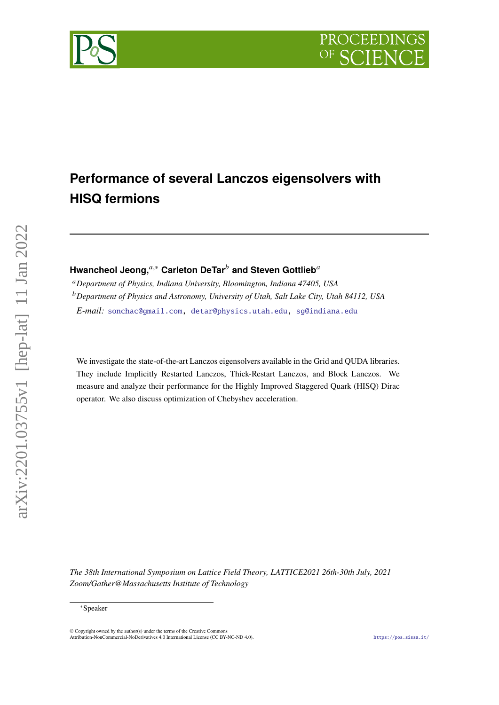**PROCEEDING** 

# **Performance of several Lanczos eigensolvers with HISQ fermions**

# **Hwancheol Jeong,**<sup>a,\*</sup> Carleton DeTar<sup>b</sup> and Steven Gottlieb<sup>a</sup>

*Department of Physics, Indiana University, Bloomington, Indiana 47405, USA Department of Physics and Astronomy, University of Utah, Salt Lake City, Utah 84112, USA E-mail:* [sonchac@gmail.com,](mailto:sonchac@gmail.com) [detar@physics.utah.edu,](mailto:detar@physics.utah.edu) [sg@indiana.edu](mailto:sg@indiana.edu)

We investigate the state-of-the-art Lanczos eigensolvers available in the Grid and QUDA libraries. They include Implicitly Restarted Lanczos, Thick-Restart Lanczos, and Block Lanczos. We measure and analyze their performance for the Highly Improved Staggered Quark (HISQ) Dirac operator. We also discuss optimization of Chebyshev acceleration.

*The 38th International Symposium on Lattice Field Theory, LATTICE2021 26th-30th July, 2021 Zoom/Gather@Massachusetts Institute of Technology*



<sup>∗</sup>Speaker

<sup>©</sup> Copyright owned by the author(s) under the terms of the Creative Common Attribution-NonCommercial-NoDerivatives 4.0 International License (CC BY-NC-ND 4.0). <https://pos.sissa.it/>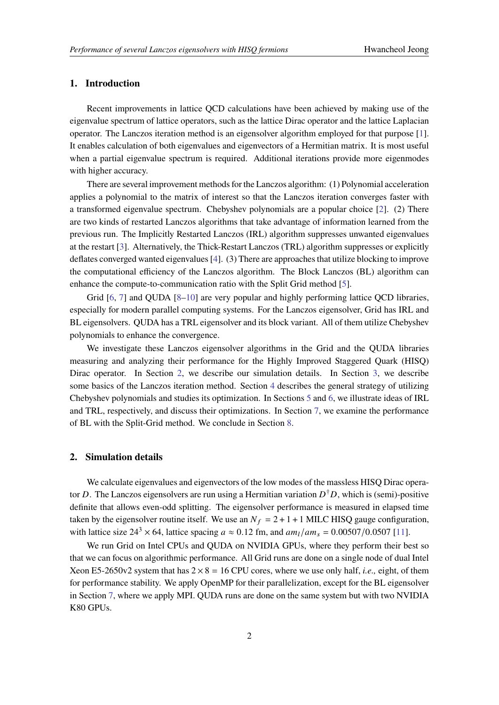# **1. Introduction**

Recent improvements in lattice QCD calculations have been achieved by making use of the eigenvalue spectrum of lattice operators, such as the lattice Dirac operator and the lattice Laplacian operator. The Lanczos iteration method is an eigensolver algorithm employed for that purpose [\[1\]](#page-8-0). It enables calculation of both eigenvalues and eigenvectors of a Hermitian matrix. It is most useful when a partial eigenvalue spectrum is required. Additional iterations provide more eigenmodes with higher accuracy.

There are several improvement methods for the Lanczos algorithm: (1) Polynomial acceleration applies a polynomial to the matrix of interest so that the Lanczos iteration converges faster with a transformed eigenvalue spectrum. Chebyshev polynomials are a popular choice [\[2\]](#page-8-1). (2) There are two kinds of restarted Lanczos algorithms that take advantage of information learned from the previous run. The Implicitly Restarted Lanczos (IRL) algorithm suppresses unwanted eigenvalues at the restart [\[3\]](#page-8-2). Alternatively, the Thick-Restart Lanczos (TRL) algorithm suppresses or explicitly deflates converged wanted eigenvalues [\[4\]](#page-8-3). (3) There are approaches that utilize blocking to improve the computational efficiency of the Lanczos algorithm. The Block Lanczos (BL) algorithm can enhance the compute-to-communication ratio with the Split Grid method [\[5\]](#page-8-4).

Grid [\[6,](#page-8-5) [7\]](#page-8-6) and QUDA [\[8](#page-8-7)[–10\]](#page-8-8) are very popular and highly performing lattice QCD libraries, especially for modern parallel computing systems. For the Lanczos eigensolver, Grid has IRL and BL eigensolvers. QUDA has a TRL eigensolver and its block variant. All of them utilize Chebyshev polynomials to enhance the convergence.

We investigate these Lanczos eigensolver algorithms in the Grid and the QUDA libraries measuring and analyzing their performance for the Highly Improved Staggered Quark (HISQ) Dirac operator. In Section [2,](#page-1-0) we describe our simulation details. In Section [3,](#page-2-0) we describe some basics of the Lanczos iteration method. Section [4](#page-2-1) describes the general strategy of utilizing Chebyshev polynomials and studies its optimization. In Sections [5](#page-4-0) and [6,](#page-5-0) we illustrate ideas of IRL and TRL, respectively, and discuss their optimizations. In Section [7,](#page-7-0) we examine the performance of BL with the Split-Grid method. We conclude in Section [8.](#page-7-1)

### <span id="page-1-0"></span>**2. Simulation details**

We calculate eigenvalues and eigenvectors of the low modes of the massless HISQ Dirac operator D. The Lanczos eigensolvers are run using a Hermitian variation  $D^{\dagger}D$ , which is (semi)-positive definite that allows even-odd splitting. The eigensolver performance is measured in elapsed time taken by the eigensolver routine itself. We use an  $N_f = 2 + 1 + 1$  MILC HISQ gauge configuration, with lattice size  $24^3 \times 64$ , lattice spacing  $a \approx 0.12$  fm, and  $am_l / am_s = 0.00507/0.0507$  [\[11\]](#page-8-9).

We run Grid on Intel CPUs and QUDA on NVIDIA GPUs, where they perform their best so that we can focus on algorithmic performance. All Grid runs are done on a single node of dual Intel Xeon E5-2650v2 system that has  $2 \times 8 = 16$  CPU cores, where we use only half, *i.e.*, eight, of them for performance stability. We apply OpenMP for their parallelization, except for the BL eigensolver in Section [7,](#page-7-0) where we apply MPI. QUDA runs are done on the same system but with two NVIDIA K80 GPUs.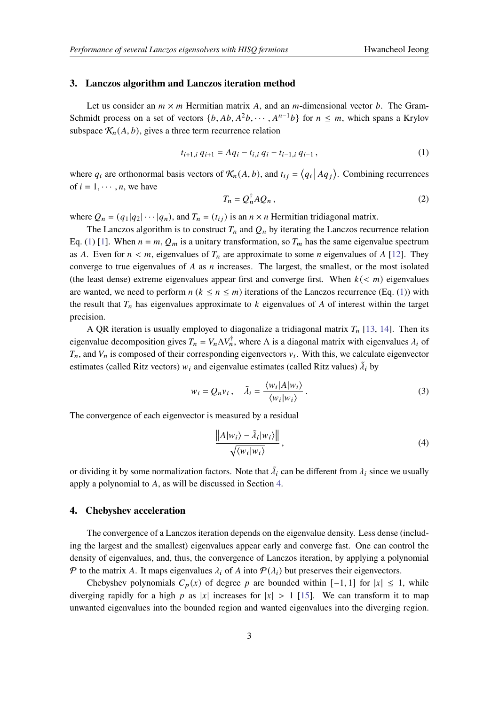#### <span id="page-2-0"></span>**3. Lanczos algorithm and Lanczos iteration method**

Let us consider an  $m \times m$  Hermitian matrix A, and an m-dimensional vector b. The Gram-Schmidt process on a set of vectors  $\{b, Ab, A^2b, \cdots, A^{n-1}b\}$  for  $n \leq m$ , which spans a Krylov subspace  $\mathcal{K}_n(A, b)$ , gives a three term recurrence relation

<span id="page-2-2"></span>
$$
t_{i+1,i} q_{i+1} = Aq_i - t_{i,i} q_i - t_{i-1,i} q_{i-1}, \qquad (1)
$$

where  $q_i$  are orthonormal basis vectors of  $\mathcal{K}_n(A, b)$ , and  $t_{ij} = \langle q_i | A q_j \rangle$ . Combining recurrences of  $i = 1, \dots, n$ , we have

<span id="page-2-4"></span>
$$
T_n = Q_n^{\dagger} A Q_n \,, \tag{2}
$$

where  $Q_n = (q_1|q_2|\cdots|q_n)$ , and  $T_n = (t_{ij})$  is an  $n \times n$  Hermitian tridiagonal matrix.

The Lanczos algorithm is to construct  $T_n$  and  $Q_n$  by iterating the Lanczos recurrence relation Eq. [\(1\)](#page-2-2) [\[1\]](#page-8-0). When  $n = m$ ,  $Q_m$  is a unitary transformation, so  $T_m$  has the same eigenvalue spectrum as A. Even for  $n < m$ , eigenvalues of  $T_n$  are approximate to some *n* eigenvalues of A [\[12\]](#page-8-10). They converge to true eigenvalues of  $A$  as  $n$  increases. The largest, the smallest, or the most isolated (the least dense) extreme eigenvalues appear first and converge first. When  $k \leq m$ ) eigenvalues are wanted, we need to perform  $n (k \le n \le m)$  iterations of the Lanczos recurrence (Eq. [\(1\)](#page-2-2)) with the result that  $T_n$  has eigenvalues approximate to  $k$  eigenvalues of  $A$  of interest within the target precision.

A QR iteration is usually employed to diagonalize a tridiagonal matrix  $T_n$  [\[13,](#page-8-11) [14\]](#page-8-12). Then its eigenvalue decomposition gives  $T_n = V_n \Delta V_n^{\dagger}$ , where  $\Delta$  is a diagonal matrix with eigenvalues  $\lambda_i$  of  $T_n$ , and  $V_n$  is composed of their corresponding eigenvectors  $v_i$ . With this, we calculate eigenvector estimates (called Ritz vectors)  $w_i$  and eigenvalue estimates (called Ritz values)  $\tilde{\lambda}_i$  by

$$
w_i = Q_n v_i, \quad \tilde{\lambda}_i = \frac{\langle w_i | A | w_i \rangle}{\langle w_i | w_i \rangle}.
$$
\n(3)

The convergence of each eigenvector is measured by a residual

<span id="page-2-3"></span>
$$
\frac{\|A|w_i\rangle - \tilde{\lambda}_i|w_i\rangle\|}{\sqrt{\langle w_i|w_i\rangle}},
$$
\n(4)

or dividing it by some normalization factors. Note that  $\tilde{\lambda}_i$  can be different from  $\lambda_i$  since we usually apply a polynomial to  $A$ , as will be discussed in Section [4.](#page-2-1)

#### <span id="page-2-1"></span>**4. Chebyshev acceleration**

The convergence of a Lanczos iteration depends on the eigenvalue density. Less dense (including the largest and the smallest) eigenvalues appear early and converge fast. One can control the density of eigenvalues, and, thus, the convergence of Lanczos iteration, by applying a polynomial  $\mathcal P$  to the matrix A. It maps eigenvalues  $\lambda_i$  of A into  $\mathcal P(\lambda_i)$  but preserves their eigenvectors.

Chebyshev polynomials  $C_p(x)$  of degree p are bounded within  $[-1, 1]$  for  $|x| \leq 1$ , while diverging rapidly for a high p as |x| increases for  $|x| > 1$  [\[15\]](#page-8-13). We can transform it to map unwanted eigenvalues into the bounded region and wanted eigenvalues into the diverging region.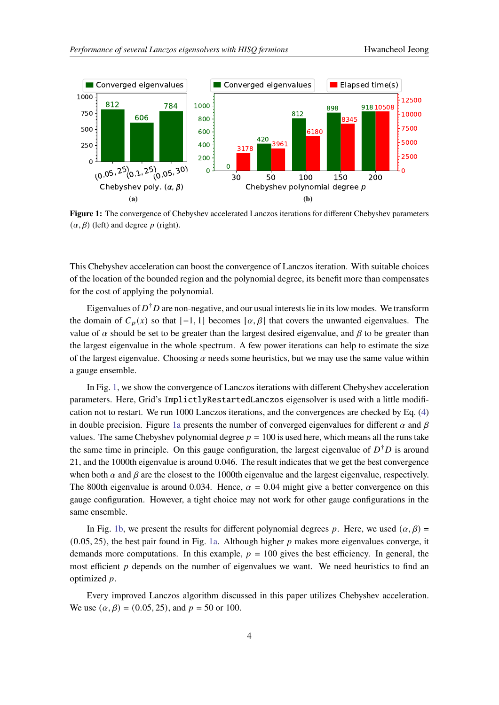<span id="page-3-0"></span>

**Figure 1:** The convergence of Chebyshev accelerated Lanczos iterations for different Chebyshev parameters  $(\alpha, \beta)$  (left) and degree p (right).

This Chebyshev acceleration can boost the convergence of Lanczos iteration. With suitable choices of the location of the bounded region and the polynomial degree, its benefit more than compensates for the cost of applying the polynomial.

Eigenvalues of  $D^{\dagger}D$  are non-negative, and our usual interests lie in its low modes. We transform the domain of  $C_p(x)$  so that  $[-1, 1]$  becomes  $[\alpha, \beta]$  that covers the unwanted eigenvalues. The value of  $\alpha$  should be set to be greater than the largest desired eigenvalue, and  $\beta$  to be greater than the largest eigenvalue in the whole spectrum. A few power iterations can help to estimate the size of the largest eigenvalue. Choosing  $\alpha$  needs some heuristics, but we may use the same value within a gauge ensemble.

In Fig. [1,](#page-3-0) we show the convergence of Lanczos iterations with different Chebyshev acceleration parameters. Here, Grid's ImplictlyRestartedLanczos eigensolver is used with a little modification not to restart. We run 1000 Lanczos iterations, and the convergences are checked by Eq. [\(4\)](#page-2-3) in double precision. Figure [1a](#page-3-0) presents the number of converged eigenvalues for different  $\alpha$  and  $\beta$ values. The same Chebyshev polynomial degree  $p = 100$  is used here, which means all the runs take the same time in principle. On this gauge configuration, the largest eigenvalue of  $D^{\dagger}D$  is around 21, and the 1000th eigenvalue is around 0.046. The result indicates that we get the best convergence when both  $\alpha$  and  $\beta$  are the closest to the 1000th eigenvalue and the largest eigenvalue, respectively. The 800th eigenvalue is around 0.034. Hence,  $\alpha = 0.04$  might give a better convergence on this gauge configuration. However, a tight choice may not work for other gauge configurations in the same ensemble.

In Fig. [1b,](#page-3-0) we present the results for different polynomial degrees p. Here, we used  $(\alpha, \beta)$  =  $(0.05, 25)$ , the best pair found in Fig. [1a.](#page-3-0) Although higher p makes more eigenvalues converge, it demands more computations. In this example,  $p = 100$  gives the best efficiency. In general, the most efficient  $p$  depends on the number of eigenvalues we want. We need heuristics to find an optimized  $p$ .

Every improved Lanczos algorithm discussed in this paper utilizes Chebyshev acceleration. We use  $(\alpha, \beta) = (0.05, 25)$ , and  $p = 50$  or 100.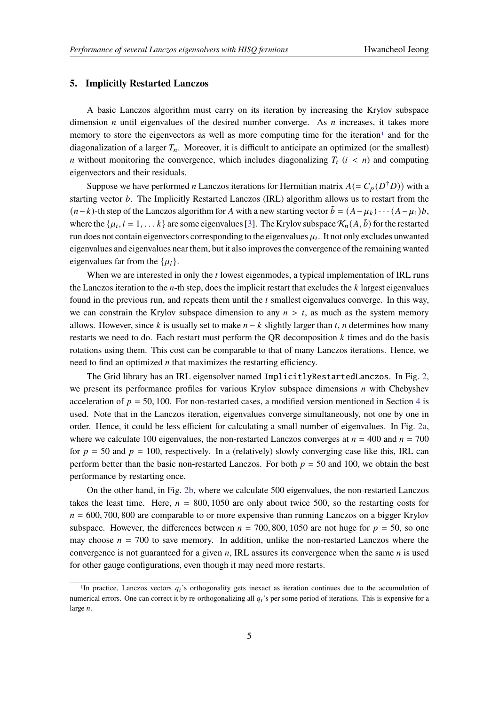#### <span id="page-4-0"></span>**5. Implicitly Restarted Lanczos**

A basic Lanczos algorithm must carry on its iteration by increasing the Krylov subspace dimension *n* until eigenvalues of the desired number converge. As *n* increases, it takes more memory to store the eigenvectors as well as more computing time for the iteration<sup>[1](#page-4-1)</sup> and for the diagonalization of a larger  $T_n$ . Moreover, it is difficult to anticipate an optimized (or the smallest) *n* without monitoring the convergence, which includes diagonalizing  $T_i$  ( $i < n$ ) and computing eigenvectors and their residuals.

Suppose we have performed *n* Lanczos iterations for Hermitian matrix  $A (= C_p(D^{\dagger}D))$  with a starting vector  $b$ . The Implicitly Restarted Lanczos (IRL) algorithm allows us to restart from the  $(n-k)$ -th step of the Lanczos algorithm for A with a new starting vector  $\tilde{b} = (A - \mu_k) \cdots (A - \mu_1) b$ , where the  $\{\mu_i, i = 1, \dots k\}$  are some eigenvalues [\[3\]](#page-8-2). The Krylov subspace  $\mathcal{K}_n(A, \tilde{b})$  for the restarted run does not contain eigenvectors corresponding to the eigenvalues  $\mu_i$ . It not only excludes unwanted eigenvalues and eigenvalues near them, but it also improves the convergence of the remaining wanted eigenvalues far from the  $\{\mu_i\}.$ 

When we are interested in only the  $t$  lowest eigenmodes, a typical implementation of IRL runs the Lanczos iteration to the  $n$ -th step, does the implicit restart that excludes the  $k$  largest eigenvalues found in the previous run, and repeats them until the  $t$  smallest eigenvalues converge. In this way, we can constrain the Krylov subspace dimension to any  $n > t$ , as much as the system memory allows. However, since k is usually set to make  $n - k$  slightly larger than t, n determines how many restarts we need to do. Each restart must perform the QR decomposition  $k$  times and do the basis rotations using them. This cost can be comparable to that of many Lanczos iterations. Hence, we need to find an optimized  $n$  that maximizes the restarting efficiency.

The Grid library has an IRL eigensolver named ImplicitlyRestartedLanczos. In Fig. [2,](#page-5-1) we present its performance profiles for various Krylov subspace dimensions  $n$  with Chebyshev acceleration of  $p = 50, 100$ . For non-restarted cases, a modified version mentioned in Section [4](#page-2-1) is used. Note that in the Lanczos iteration, eigenvalues converge simultaneously, not one by one in order. Hence, it could be less efficient for calculating a small number of eigenvalues. In Fig. [2a,](#page-5-1) where we calculate 100 eigenvalues, the non-restarted Lanczos converges at  $n = 400$  and  $n = 700$ for  $p = 50$  and  $p = 100$ , respectively. In a (relatively) slowly converging case like this, IRL can perform better than the basic non-restarted Lanczos. For both  $p = 50$  and 100, we obtain the best performance by restarting once.

On the other hand, in Fig. [2b,](#page-5-1) where we calculate 500 eigenvalues, the non-restarted Lanczos takes the least time. Here,  $n = 800, 1050$  are only about twice 500, so the restarting costs for  $n = 600, 700, 800$  are comparable to or more expensive than running Lanczos on a bigger Krylov subspace. However, the differences between  $n = 700,800,1050$  are not huge for  $p = 50$ , so one may choose  $n = 700$  to save memory. In addition, unlike the non-restarted Lanczos where the convergence is not guaranteed for a given  $n$ , IRL assures its convergence when the same  $n$  is used for other gauge configurations, even though it may need more restarts.

<span id="page-4-1"></span><sup>&</sup>lt;sup>1</sup>In practice, Lanczos vectors  $q_i$ 's orthogonality gets inexact as iteration continues due to the accumulation of numerical errors. One can correct it by re-orthogonalizing all  $q_i$ 's per some period of iterations. This is expensive for a large  $n$ .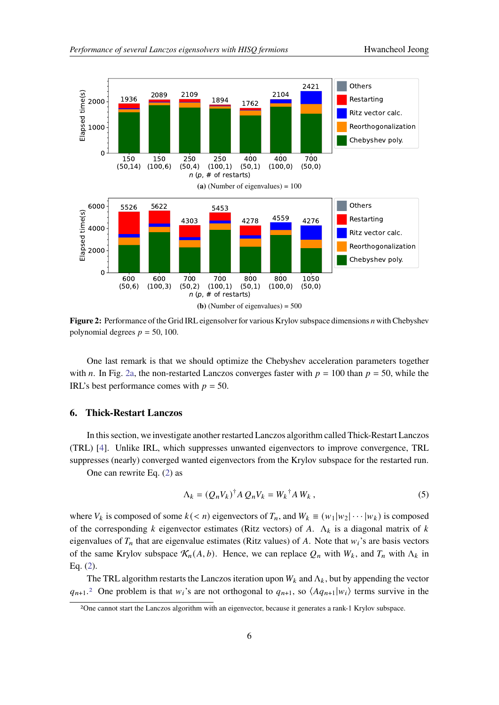<span id="page-5-1"></span>

Figure 2: Performance of the Grid IRL eigensolver for various Krylov subspace dimensions *n* with Chebyshev polynomial degrees  $p = 50, 100$ .

One last remark is that we should optimize the Chebyshev acceleration parameters together with *n*. In Fig. [2a,](#page-5-1) the non-restarted Lanczos converges faster with  $p = 100$  than  $p = 50$ , while the IRL's best performance comes with  $p = 50$ .

#### <span id="page-5-0"></span>**6. Thick-Restart Lanczos**

In this section, we investigate another restarted Lanczos algorithm called Thick-Restart Lanczos (TRL) [\[4\]](#page-8-3). Unlike IRL, which suppresses unwanted eigenvectors to improve convergence, TRL suppresses (nearly) converged wanted eigenvectors from the Krylov subspace for the restarted run.

One can rewrite Eq. [\(2\)](#page-2-4) as

$$
\Lambda_k = (Q_n V_k)^{\dagger} A Q_n V_k = W_k^{\dagger} A W_k , \qquad (5)
$$

where  $V_k$  is composed of some  $k \le n$ ) eigenvectors of  $T_n$ , and  $W_k \equiv (w_1|w_2|\cdots|w_k)$  is composed of the corresponding k eigenvector estimates (Ritz vectors) of A.  $\Lambda_k$  is a diagonal matrix of k eigenvalues of  $T_n$  that are eigenvalue estimates (Ritz values) of A. Note that  $w_i$ 's are basis vectors of the same Krylov subspace  $\mathcal{K}_n(A, b)$ . Hence, we can replace  $Q_n$  with  $W_k$ , and  $T_n$  with  $\Lambda_k$  in Eq. [\(2\)](#page-2-4).

The TRL algorithm restarts the Lanczos iteration upon  $W_k$  and  $\Lambda_k$ , but by appending the vector  $q_{n+1}$ <sup>[2](#page-5-2)</sup> One problem is that  $w_i$ 's are not orthogonal to  $q_{n+1}$ , so  $\langle Aq_{n+1}|w_i \rangle$  terms survive in the

<span id="page-5-2"></span><sup>2</sup>One cannot start the Lanczos algorithm with an eigenvector, because it generates a rank-1 Krylov subspace.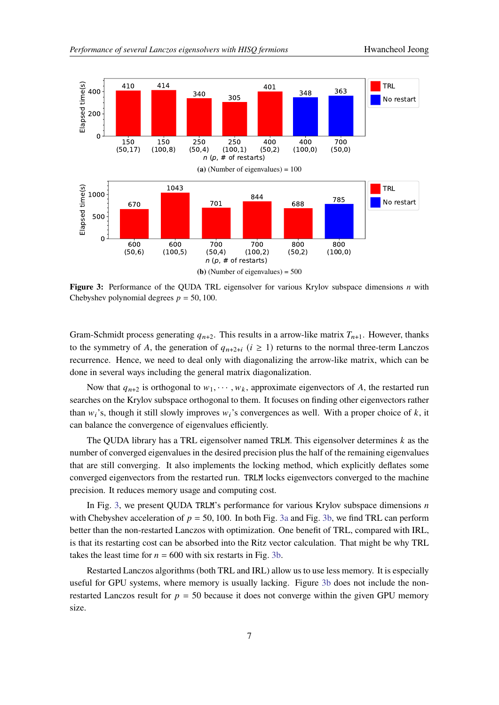<span id="page-6-0"></span>

**Figure 3:** Performance of the QUDA TRL eigensolver for various Krylov subspace dimensions *n* with Chebyshev polynomial degrees  $p = 50, 100$ .

Gram-Schmidt process generating  $q_{n+2}$ . This results in a arrow-like matrix  $T_{n+1}$ . However, thanks to the symmetry of A, the generation of  $q_{n+2+i}$  ( $i \ge 1$ ) returns to the normal three-term Lanczos recurrence. Hence, we need to deal only with diagonalizing the arrow-like matrix, which can be done in several ways including the general matrix diagonalization.

Now that  $q_{n+2}$  is orthogonal to  $w_1, \dots, w_k$ , approximate eigenvectors of A, the restarted run searches on the Krylov subspace orthogonal to them. It focuses on finding other eigenvectors rather than  $w_i$ 's, though it still slowly improves  $w_i$ 's convergences as well. With a proper choice of k, it can balance the convergence of eigenvalues efficiently.

The QUDA library has a TRL eigensolver named TRLM. This eigensolver determines  $k$  as the number of converged eigenvalues in the desired precision plus the half of the remaining eigenvalues that are still converging. It also implements the locking method, which explicitly deflates some converged eigenvectors from the restarted run. TRLM locks eigenvectors converged to the machine precision. It reduces memory usage and computing cost.

In Fig. [3,](#page-6-0) we present QUDA TRLM's performance for various Krylov subspace dimensions  $n$ with Chebyshev acceleration of  $p = 50, 100$ . In both Fig. [3a](#page-6-0) and Fig. [3b,](#page-6-0) we find TRL can perform better than the non-restarted Lanczos with optimization. One benefit of TRL, compared with IRL, is that its restarting cost can be absorbed into the Ritz vector calculation. That might be why TRL takes the least time for  $n = 600$  with six restarts in Fig. [3b.](#page-6-0)

Restarted Lanczos algorithms (both TRL and IRL) allow us to use less memory. It is especially useful for GPU systems, where memory is usually lacking. Figure [3b](#page-6-0) does not include the nonrestarted Lanczos result for  $p = 50$  because it does not converge within the given GPU memory size.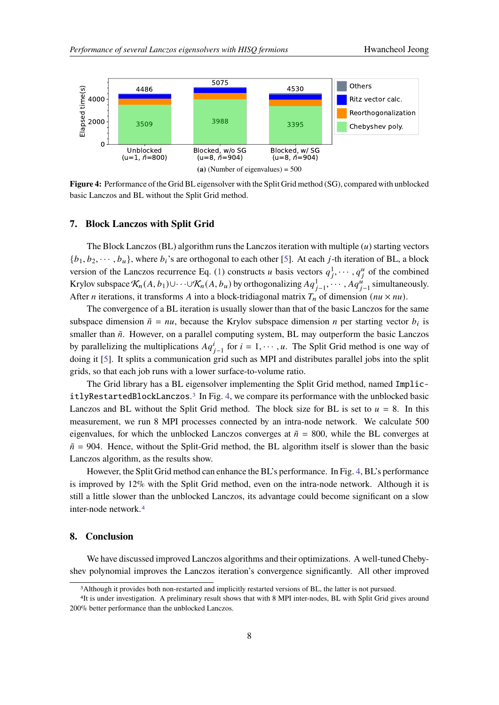<span id="page-7-3"></span>

**Figure 4:** Performance of the Grid BL eigensolver with the Split Grid method (SG), compared with unblocked basic Lanczos and BL without the Split Grid method.

# <span id="page-7-0"></span>**7. Block Lanczos with Split Grid**

The Block Lanczos (BL) algorithm runs the Lanczos iteration with multiple  $(u)$  starting vectors  ${b_1, b_2, \dots, b_u}$ , where  $b_i$ 's are orthogonal to each other [\[5\]](#page-8-4). At each j-th iteration of BL, a block version of the Lanczos recurrence Eq. [\(1\)](#page-2-2) constructs *u* basis vectors  $q_1^1, \dots, q_i^u$  of the combined Krylov subspace  $\mathcal{K}_n(A, b_1) \cup \cdots \cup \mathcal{K}_n(A, b_u)$  by orthogonalizing  $Aq_{j-1}^1, \cdots, Aq_{j-1}^u$  simultaneously. After *n* iterations, it transforms *A* into a block-tridiagonal matrix  $T_n$  of dimension ( $nu \times nu$ ).

The convergence of a BL iteration is usually slower than that of the basic Lanczos for the same subspace dimension  $\tilde{n} = nu$ , because the Krylov subspace dimension *n* per starting vector  $b_i$  is smaller than  $\tilde{n}$ . However, on a parallel computing system, BL may outperform the basic Lanczos by parallelizing the multiplications  $Aq_{j-1}^i$  for  $i = 1, \dots, u$ . The Split Grid method is one way of doing it [\[5\]](#page-8-4). It splits a communication grid such as MPI and distributes parallel jobs into the split grids, so that each job runs with a lower surface-to-volume ratio.

The Grid library has a BL eigensolver implementing the Split Grid method, named Implic- $itlyRestarded LockLanczos.<sup>3</sup>$  $itlyRestarded LockLanczos.<sup>3</sup>$  $itlyRestarded LockLanczos.<sup>3</sup>$  In Fig. [4,](#page-7-3) we compare its performance with the unblocked basic Lanczos and BL without the Split Grid method. The block size for BL is set to  $u = 8$ . In this measurement, we run 8 MPI processes connected by an intra-node network. We calculate 500 eigenvalues, for which the unblocked Lanczos converges at  $\tilde{n} = 800$ , while the BL converges at  $\tilde{n}$  = 904. Hence, without the Split-Grid method, the BL algorithm itself is slower than the basic Lanczos algorithm, as the results show.

However, the Split Grid method can enhance the BL's performance. In Fig. [4,](#page-7-3) BL's performance is improved by 12% with the Split Grid method, even on the intra-node network. Although it is still a little slower than the unblocked Lanczos, its advantage could become significant on a slow inter-node network.[4](#page-7-4)

# <span id="page-7-1"></span>**8. Conclusion**

We have discussed improved Lanczos algorithms and their optimizations. A well-tuned Chebyshev polynomial improves the Lanczos iteration's convergence significantly. All other improved

<span id="page-7-4"></span><span id="page-7-2"></span><sup>3</sup>Although it provides both non-restarted and implicitly restarted versions of BL, the latter is not pursued.

<sup>4</sup>It is under investigation. A preliminary result shows that with 8 MPI inter-nodes, BL with Split Grid gives around 200% better performance than the unblocked Lanczos.